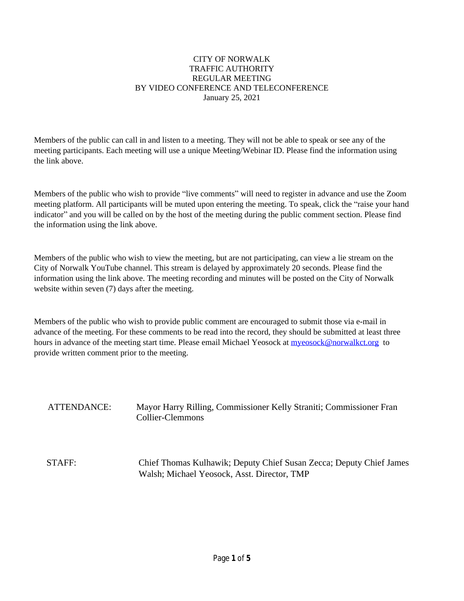### CITY OF NORWALK TRAFFIC AUTHORITY REGULAR MEETING BY VIDEO CONFERENCE AND TELECONFERENCE January 25, 2021

Members of the public can call in and listen to a meeting. They will not be able to speak or see any of the meeting participants. Each meeting will use a unique Meeting/Webinar ID. Please find the information using the link above.

Members of the public who wish to provide "live comments" will need to register in advance and use the Zoom meeting platform. All participants will be muted upon entering the meeting. To speak, click the "raise your hand indicator" and you will be called on by the host of the meeting during the public comment section. Please find the information using the link above.

Members of the public who wish to view the meeting, but are not participating, can view a lie stream on the City of Norwalk YouTube channel. This stream is delayed by approximately 20 seconds. Please find the information using the link above. The meeting recording and minutes will be posted on the City of Norwalk website within seven (7) days after the meeting.

Members of the public who wish to provide public comment are encouraged to submit those via e-mail in advance of the meeting. For these comments to be read into the record, they should be submitted at least three hours in advance of the meeting start time. Please email Michael Yeosock at **myeosock@norwalkct.org** to provide written comment prior to the meeting.

ATTENDANCE: Mayor Harry Rilling, Commissioner Kelly Straniti; Commissioner Fran Collier-Clemmons

STAFF: Chief Thomas Kulhawik; Deputy Chief Susan Zecca; Deputy Chief James Walsh; Michael Yeosock, Asst. Director, TMP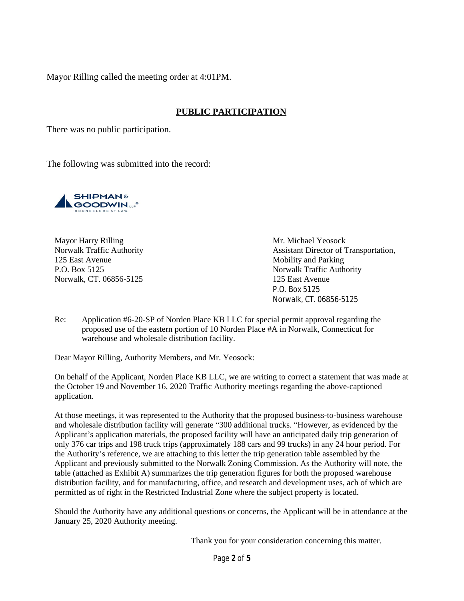Mayor Rilling called the meeting order at 4:01PM.

# **PUBLIC PARTICIPATION**

There was no public participation.

The following was submitted into the record:



Mayor Harry Rilling Mr. Michael Yeosock 125 East Avenue Mobility and Parking P.O. Box 5125 Norwalk Traffic Authority Norwalk, CT. 06856-5125 125 East Avenue

Norwalk Traffic Authority **Assistant Director of Transportation**, P.O. Box 5125 Norwalk, CT. 06856-5125

Re: Application #6-20-SP of Norden Place KB LLC for special permit approval regarding the proposed use of the eastern portion of 10 Norden Place #A in Norwalk, Connecticut for warehouse and wholesale distribution facility.

Dear Mayor Rilling, Authority Members, and Mr. Yeosock:

On behalf of the Applicant, Norden Place KB LLC, we are writing to correct a statement that was made at the October 19 and November 16, 2020 Traffic Authority meetings regarding the above-captioned application.

At those meetings, it was represented to the Authority that the proposed business-to-business warehouse and wholesale distribution facility will generate "300 additional trucks. "However, as evidenced by the Applicant's application materials, the proposed facility will have an anticipated daily trip generation of only 376 car trips and 198 truck trips (approximately 188 cars and 99 trucks) in any 24 hour period. For the Authority's reference, we are attaching to this letter the trip generation table assembled by the Applicant and previously submitted to the Norwalk Zoning Commission. As the Authority will note, the table (attached as Exhibit A) summarizes the trip generation figures for both the proposed warehouse distribution facility, and for manufacturing, office, and research and development uses, ach of which are permitted as of right in the Restricted Industrial Zone where the subject property is located.

Should the Authority have any additional questions or concerns, the Applicant will be in attendance at the January 25, 2020 Authority meeting.

Thank you for your consideration concerning this matter.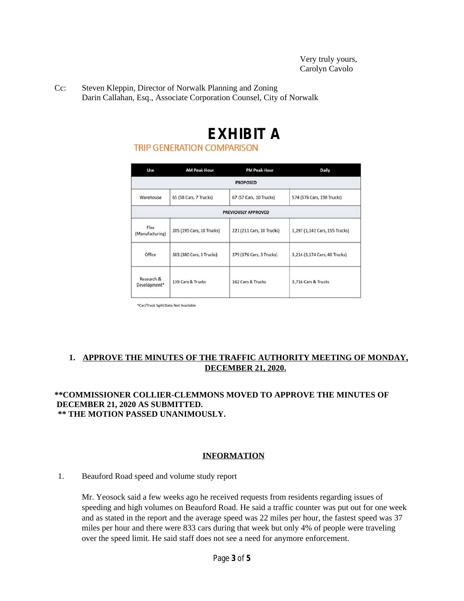Cc: Steven Kleppin, Director of Norwalk Planning and Zoning Darin Callahan, Esq., Associate Corporation Counsel, City of Norwalk

# **EXHIBIT A**<br>TRIP GENERATION COMPARISON

| Use                        | <b>AM Peak Hour</b>       | <b>PM Peak Hour</b>       | Daily                          |
|----------------------------|---------------------------|---------------------------|--------------------------------|
|                            |                           | <b>PROPOSED</b>           |                                |
| Warehouse                  | 65 (58 Cars, 7 Trucks)    | 67 (57 Cars, 10 Trucks)   | 574 (376 Cars, 198 Trucks)     |
|                            |                           | PREVIOUSLY APPROVED       |                                |
| Flex<br>(Manufacturing)    | 205 (195 Cars, 10 Trucks) | 221 (211 Cars, 10 Trucks) | 1,297 (1,142 Cars, 155 Trucks) |
| Office                     | 383 (380 Cars, 3 Trucks)  | 379 (376 Cars, 3 Trucks)  | 3,214 (3,174 Cars, 40 Trucks)  |
| Research &<br>Development* | 139 Cars & Trucks         | 162 Cars & Trucks         | 3,716 Cars & Trucks            |

\*Car/Truck Split Data Not Available

# **1. APPROVE THE MINUTES OF THE TRAFFIC AUTHORITY MEETING OF MONDAY, DECEMBER 21, 2020.**

### **\*\*COMMISSIONER COLLIER-CLEMMONS MOVED TO APPROVE THE MINUTES OF DECEMBER 21, 2020 AS SUBMITTED. \*\* THE MOTION PASSED UNANIMOUSLY.**

## **INFORMATION**

#### 1. Beauford Road speed and volume study report

Mr. Yeosock said a few weeks ago he received requests from residents regarding issues of speeding and high volumes on Beauford Road. He said a traffic counter was put out for one week and as stated in the report and the average speed was 22 miles per hour, the fastest speed was 37 miles per hour and there were 833 cars during that week but only 4% of people were traveling over the speed limit. He said staff does not see a need for anymore enforcement.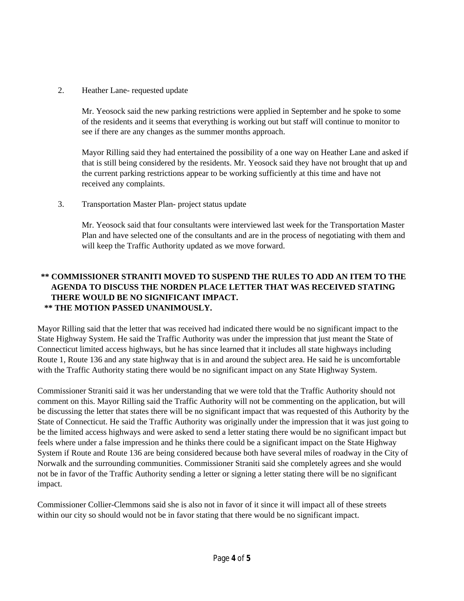2. Heather Lane- requested update

Mr. Yeosock said the new parking restrictions were applied in September and he spoke to some of the residents and it seems that everything is working out but staff will continue to monitor to see if there are any changes as the summer months approach.

Mayor Rilling said they had entertained the possibility of a one way on Heather Lane and asked if that is still being considered by the residents. Mr. Yeosock said they have not brought that up and the current parking restrictions appear to be working sufficiently at this time and have not received any complaints.

3. Transportation Master Plan- project status update

Mr. Yeosock said that four consultants were interviewed last week for the Transportation Master Plan and have selected one of the consultants and are in the process of negotiating with them and will keep the Traffic Authority updated as we move forward.

# **\*\* COMMISSIONER STRANITI MOVED TO SUSPEND THE RULES TO ADD AN ITEM TO THE AGENDA TO DISCUSS THE NORDEN PLACE LETTER THAT WAS RECEIVED STATING THERE WOULD BE NO SIGNIFICANT IMPACT. \*\* THE MOTION PASSED UNANIMOUSLY.**

Mayor Rilling said that the letter that was received had indicated there would be no significant impact to the State Highway System. He said the Traffic Authority was under the impression that just meant the State of Connecticut limited access highways, but he has since learned that it includes all state highways including Route 1, Route 136 and any state highway that is in and around the subject area. He said he is uncomfortable with the Traffic Authority stating there would be no significant impact on any State Highway System.

Commissioner Straniti said it was her understanding that we were told that the Traffic Authority should not comment on this. Mayor Rilling said the Traffic Authority will not be commenting on the application, but will be discussing the letter that states there will be no significant impact that was requested of this Authority by the State of Connecticut. He said the Traffic Authority was originally under the impression that it was just going to be the limited access highways and were asked to send a letter stating there would be no significant impact but feels where under a false impression and he thinks there could be a significant impact on the State Highway System if Route and Route 136 are being considered because both have several miles of roadway in the City of Norwalk and the surrounding communities. Commissioner Straniti said she completely agrees and she would not be in favor of the Traffic Authority sending a letter or signing a letter stating there will be no significant impact.

Commissioner Collier-Clemmons said she is also not in favor of it since it will impact all of these streets within our city so should would not be in favor stating that there would be no significant impact.